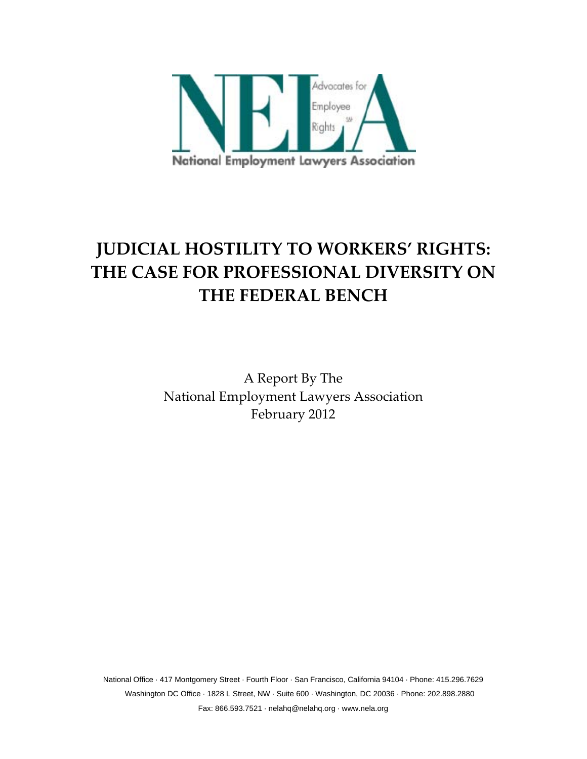

# **JUDICIAL HOSTILITY TO WORKERS' RIGHTS: THE CASE FOR PROFESSIONAL DIVERSITY ON THE FEDERAL BENCH**

A Report By The National Employment Lawyers Association February 2012

National Office · 417 Montgomery Street · Fourth Floor · San Francisco, California 94104 · Phone: 415.296.7629 Washington DC Office · 1828 L Street, NW · Suite 600 · Washington, DC 20036 · Phone: 202.898.2880 Fax: 866.593.7521 · nelahq@nelahq.org · www.nela.org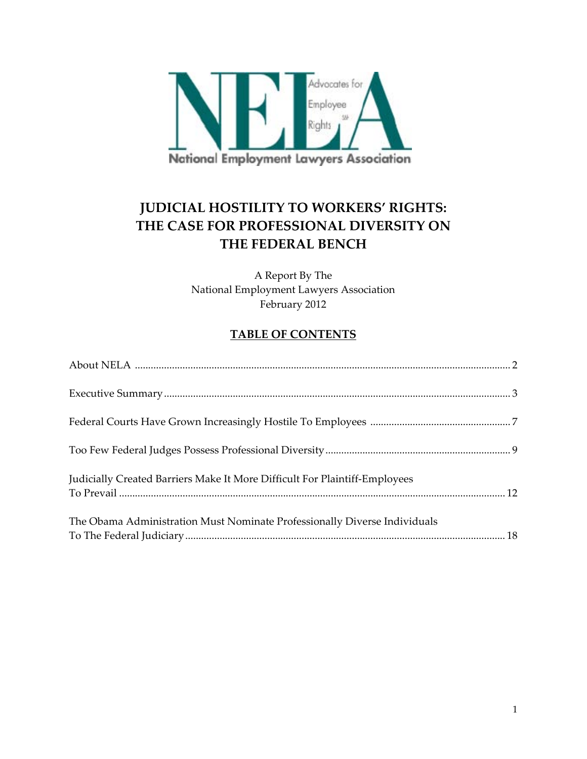

# **JUDICIAL HOSTILITY TO WORKERS' RIGHTS: THE CASE FOR PROFESSIONAL DIVERSITY ON THE FEDERAL BENCH**

A Report By The National Employment Lawyers Association February 2012

# **TABLE OF CONTENTS**

| Judicially Created Barriers Make It More Difficult For Plaintiff-Employees |  |
|----------------------------------------------------------------------------|--|
| The Obama Administration Must Nominate Professionally Diverse Individuals  |  |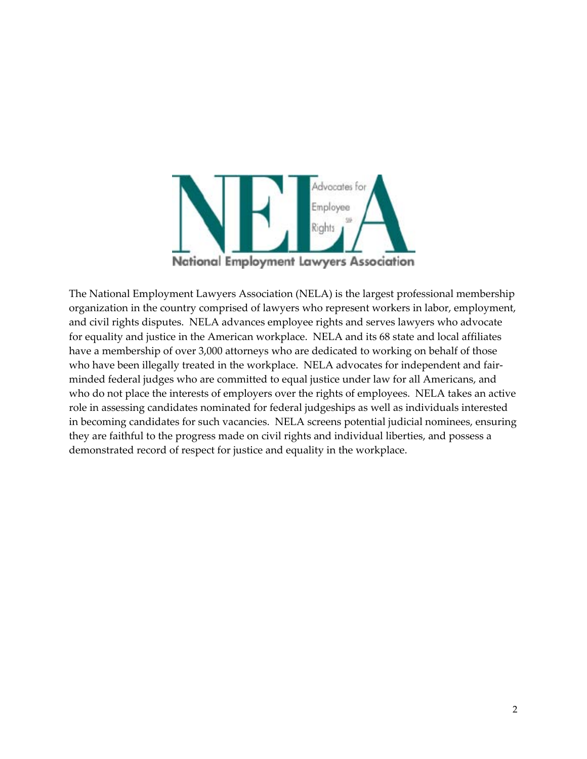

The National Employment Lawyers Association (NELA) is the largest professional membership organization in the country comprised of lawyers who represent workers in labor, employment, and civil rights disputes. NELA advances employee rights and serves lawyers who advocate for equality and justice in the American workplace. NELA and its 68 state and local affiliates have a membership of over 3,000 attorneys who are dedicated to working on behalf of those who have been illegally treated in the workplace. NELA advocates for independent and fairminded federal judges who are committed to equal justice under law for all Americans, and who do not place the interests of employers over the rights of employees. NELA takes an active role in assessing candidates nominated for federal judgeships as well as individuals interested in becoming candidates for such vacancies. NELA screens potential judicial nominees, ensuring they are faithful to the progress made on civil rights and individual liberties, and possess a demonstrated record of respect for justice and equality in the workplace.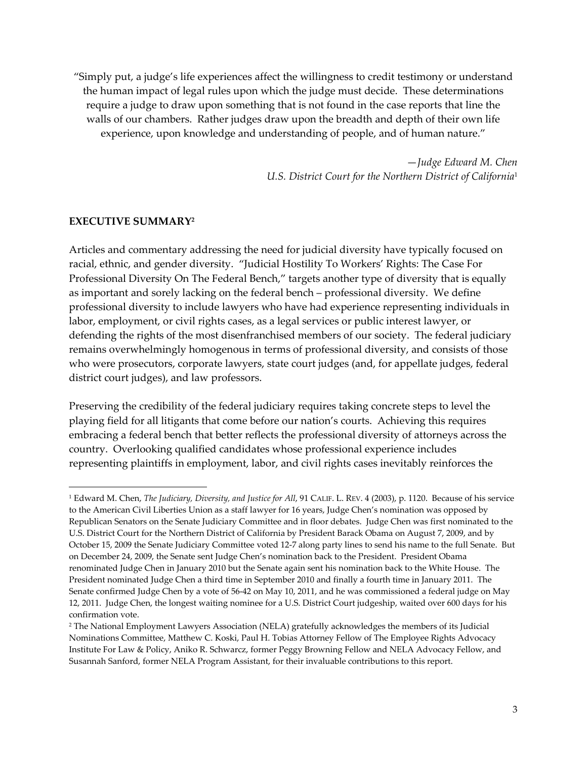"Simply put, a judge's life experiences affect the willingness to credit testimony or understand the human impact of legal rules upon which the judge must decide. These determinations require a judge to draw upon something that is not found in the case reports that line the walls of our chambers. Rather judges draw upon the breadth and depth of their own life experience, upon knowledge and understanding of people, and of human nature."

> —*Judge Edward M. Chen U.S. District Court for the Northern District of California*<sup>1</sup>

#### **EXECUTIVE SUMMARY2**

Articles and commentary addressing the need for judicial diversity have typically focused on racial, ethnic, and gender diversity. "Judicial Hostility To Workers' Rights: The Case For Professional Diversity On The Federal Bench," targets another type of diversity that is equally as important and sorely lacking on the federal bench – professional diversity. We define professional diversity to include lawyers who have had experience representing individuals in labor, employment, or civil rights cases, as a legal services or public interest lawyer, or defending the rights of the most disenfranchised members of our society. The federal judiciary remains overwhelmingly homogenous in terms of professional diversity, and consists of those who were prosecutors, corporate lawyers, state court judges (and, for appellate judges, federal district court judges), and law professors.

Preserving the credibility of the federal judiciary requires taking concrete steps to level the playing field for all litigants that come before our nation's courts. Achieving this requires embracing a federal bench that better reflects the professional diversity of attorneys across the country. Overlooking qualified candidates whose professional experience includes representing plaintiffs in employment, labor, and civil rights cases inevitably reinforces the

<sup>1</sup> Edward M. Chen, *The Judiciary, Diversity, and Justice for All*, 91 CALIF. L. REV. 4 (2003), p. 1120. Because of his service to the American Civil Liberties Union as a staff lawyer for 16 years, Judge Chen's nomination was opposed by Republican Senators on the Senate Judiciary Committee and in floor debates. Judge Chen was first nominated to the U.S. District Court for the Northern District of California by President Barack Obama on August 7, 2009, and by October 15, 2009 the Senate Judiciary Committee voted 12‐7 along party lines to send his name to the full Senate. But on December 24, 2009, the Senate sent Judge Chen's nomination back to the President. President Obama renominated Judge Chen in January 2010 but the Senate again sent his nomination back to the White House. The President nominated Judge Chen a third time in September 2010 and finally a fourth time in January 2011. The Senate confirmed Judge Chen by a vote of 56‐42 on May 10, 2011, and he was commissioned a federal judge on May 12, 2011. Judge Chen, the longest waiting nominee for a U.S. District Court judgeship, waited over 600 days for his confirmation vote.

<sup>2</sup> The National Employment Lawyers Association (NELA) gratefully acknowledges the members of its Judicial Nominations Committee, Matthew C. Koski, Paul H. Tobias Attorney Fellow of The Employee Rights Advocacy Institute For Law & Policy, Aniko R. Schwarcz, former Peggy Browning Fellow and NELA Advocacy Fellow, and Susannah Sanford, former NELA Program Assistant, for their invaluable contributions to this report.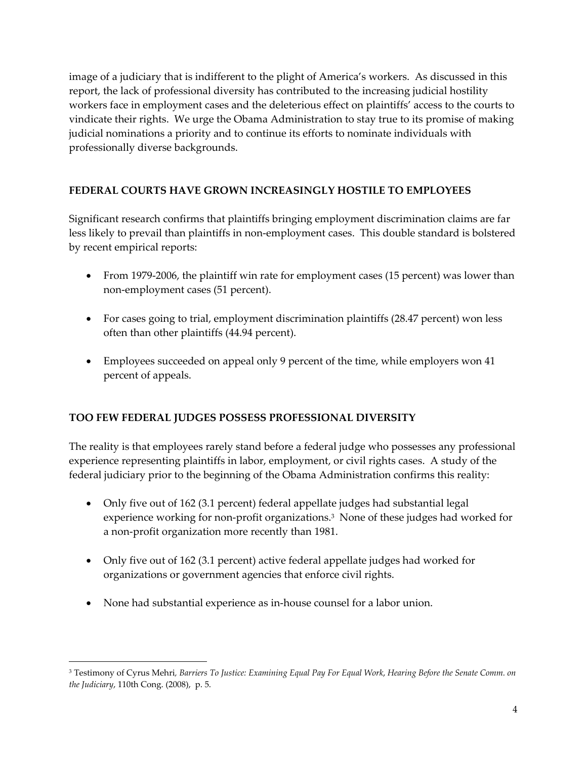image of a judiciary that is indifferent to the plight of America's workers. As discussed in this report, the lack of professional diversity has contributed to the increasing judicial hostility workers face in employment cases and the deleterious effect on plaintiffs' access to the courts to vindicate their rights. We urge the Obama Administration to stay true to its promise of making judicial nominations a priority and to continue its efforts to nominate individuals with professionally diverse backgrounds.

#### **FEDERAL COURTS HAVE GROWN INCREASINGLY HOSTILE TO EMPLOYEES**

Significant research confirms that plaintiffs bringing employment discrimination claims are far less likely to prevail than plaintiffs in non‐employment cases. This double standard is bolstered by recent empirical reports:

- From 1979-2006, the plaintiff win rate for employment cases (15 percent) was lower than non‐employment cases (51 percent).
- For cases going to trial, employment discrimination plaintiffs (28.47 percent) won less often than other plaintiffs (44.94 percent).
- Employees succeeded on appeal only 9 percent of the time, while employers won 41 percent of appeals.

#### **TOO FEW FEDERAL JUDGES POSSESS PROFESSIONAL DIVERSITY**

The reality is that employees rarely stand before a federal judge who possesses any professional experience representing plaintiffs in labor, employment, or civil rights cases. A study of the federal judiciary prior to the beginning of the Obama Administration confirms this reality:

- Only five out of 162 (3.1 percent) federal appellate judges had substantial legal experience working for non-profit organizations.<sup>3</sup> None of these judges had worked for a non‐profit organization more recently than 1981.
- Only five out of 162 (3.1 percent) active federal appellate judges had worked for organizations or government agencies that enforce civil rights.
- None had substantial experience as in-house counsel for a labor union.

<sup>&</sup>lt;sup>3</sup> Testimony of Cyrus Mehri, Barriers To Justice: Examining Equal Pay For Equal Work, Hearing Before the Senate Comm. on *the Judiciary*, 110th Cong. (2008), p. 5.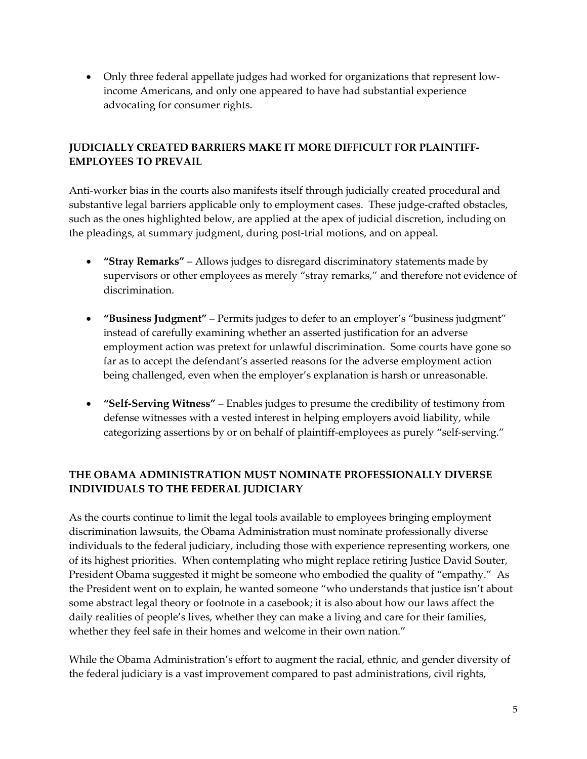• Only three federal appellate judges had worked for organizations that represent lowincome Americans, and only one appeared to have had substantial experience advocating for consumer rights.

## **JUDICIALLY CREATED BARRIERS MAKE IT MORE DIFFICULT FOR PLAINTIFF‐ EMPLOYEES TO PREVAIL**

Anti-worker bias in the courts also manifests itself through judicially created procedural and substantive legal barriers applicable only to employment cases. These judge-crafted obstacles, such as the ones highlighted below, are applied at the apex of judicial discretion, including on the pleadings, at summary judgment, during post-trial motions, and on appeal.

- **"Stray Remarks"** Allows judges to disregard discriminatory statements made by supervisors or other employees as merely "stray remarks," and therefore not evidence of discrimination.
- **"Business Judgment"** Permits judges to defer to an employer's "business judgment" instead of carefully examining whether an asserted justification for an adverse employment action was pretext for unlawful discrimination. Some courts have gone so far as to accept the defendant's asserted reasons for the adverse employment action being challenged, even when the employer's explanation is harsh or unreasonable.
- **"Self‐Serving Witness"** Enables judges to presume the credibility of testimony from defense witnesses with a vested interest in helping employers avoid liability, while categorizing assertions by or on behalf of plaintiff-employees as purely "self-serving."

# **THE OBAMA ADMINISTRATION MUST NOMINATE PROFESSIONALLY DIVERSE INDIVIDUALS TO THE FEDERAL JUDICIARY**

As the courts continue to limit the legal tools available to employees bringing employment discrimination lawsuits, the Obama Administration must nominate professionally diverse individuals to the federal judiciary, including those with experience representing workers, one of its highest priorities. When contemplating who might replace retiring Justice David Souter, President Obama suggested it might be someone who embodied the quality of "empathy." As the President went on to explain, he wanted someone "who understands that justice isn't about some abstract legal theory or footnote in a casebook; it is also about how our laws affect the daily realities of people's lives, whether they can make a living and care for their families, whether they feel safe in their homes and welcome in their own nation."

While the Obama Administration's effort to augment the racial, ethnic, and gender diversity of the federal judiciary is a vast improvement compared to past administrations, civil rights,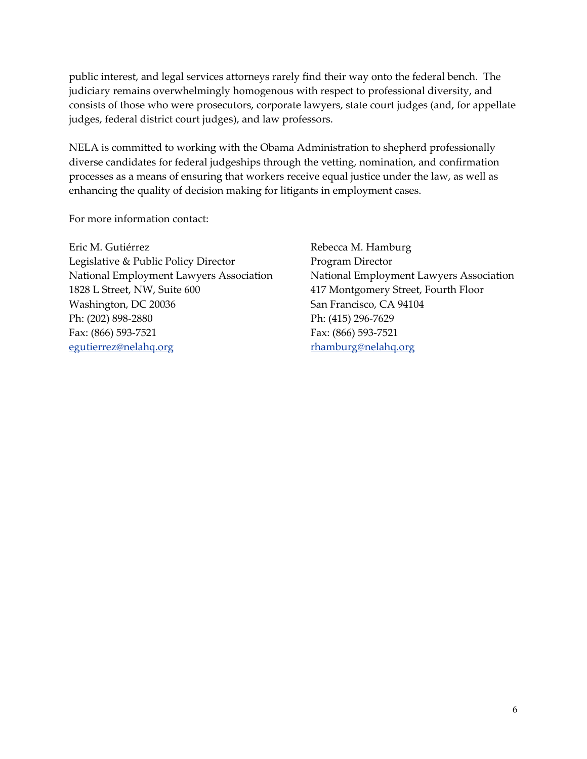public interest, and legal services attorneys rarely find their way onto the federal bench. The judiciary remains overwhelmingly homogenous with respect to professional diversity, and consists of those who were prosecutors, corporate lawyers, state court judges (and, for appellate judges, federal district court judges), and law professors.

NELA is committed to working with the Obama Administration to shepherd professionally diverse candidates for federal judgeships through the vetting, nomination, and confirmation processes as a means of ensuring that workers receive equal justice under the law, as well as enhancing the quality of decision making for litigants in employment cases.

For more information contact:

Eric M. Gutiérrez Legislative & Public Policy Director National Employment Lawyers Association 1828 L Street, NW, Suite 600 Washington, DC 20036 Ph: (202) 898‐2880 Fax: (866) 593‐7521 egutierrez@nelahq.org

Rebecca M. Hamburg Program Director National Employment Lawyers Association 417 Montgomery Street, Fourth Floor San Francisco, CA 94104 Ph: (415) 296‐7629 Fax: (866) 593‐7521 rhamburg@nelahq.org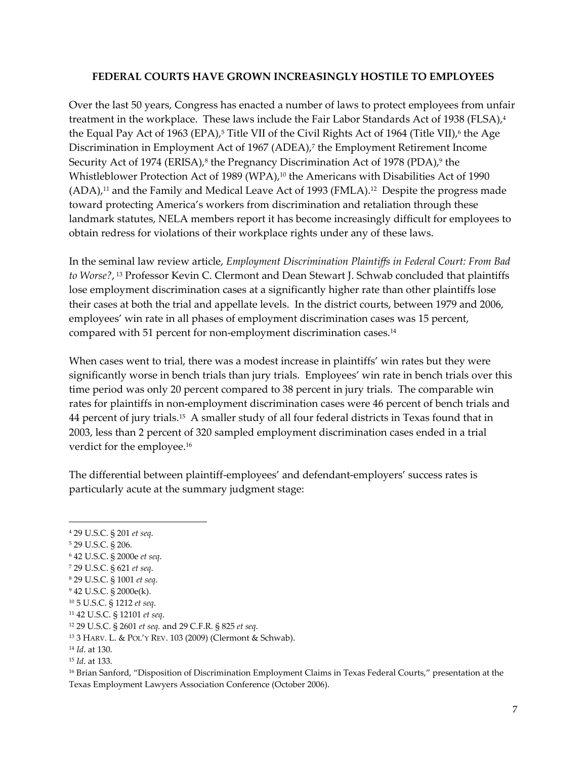#### **FEDERAL COURTS HAVE GROWN INCREASINGLY HOSTILE TO EMPLOYEES**

Over the last 50 years, Congress has enacted a number of laws to protect employees from unfair treatment in the workplace. These laws include the Fair Labor Standards Act of 1938 (FLSA),<sup>4</sup> the Equal Pay Act of 1963 (EPA),<sup>5</sup> Title VII of the Civil Rights Act of 1964 (Title VII),<sup>6</sup> the Age Discrimination in Employment Act of 1967 (ADEA),<sup>7</sup> the Employment Retirement Income Security Act of 1974 (ERISA),<sup>8</sup> the Pregnancy Discrimination Act of 1978 (PDA),<sup>9</sup> the Whistleblower Protection Act of 1989 (WPA),<sup>10</sup> the Americans with Disabilities Act of 1990  $(ADA)$ ,<sup>11</sup> and the Family and Medical Leave Act of 1993 (FMLA).<sup>12</sup> Despite the progress made toward protecting America's workers from discrimination and retaliation through these landmark statutes, NELA members report it has become increasingly difficult for employees to obtain redress for violations of their workplace rights under any of these laws.

In the seminal law review article, *Employment Discrimination Plaintiffs in Federal Court: From Bad to Worse?*, <sup>13</sup> Professor Kevin C. Clermont and Dean Stewart J. Schwab concluded that plaintiffs lose employment discrimination cases at a significantly higher rate than other plaintiffs lose their cases at both the trial and appellate levels. In the district courts, between 1979 and 2006, employees' win rate in all phases of employment discrimination cases was 15 percent, compared with 51 percent for non-employment discrimination cases.<sup>14</sup>

When cases went to trial, there was a modest increase in plaintiffs' win rates but they were significantly worse in bench trials than jury trials. Employees' win rate in bench trials over this time period was only 20 percent compared to 38 percent in jury trials. The comparable win rates for plaintiffs in non‐employment discrimination cases were 46 percent of bench trials and 44 percent of jury trials.15 A smaller study of all four federal districts in Texas found that in 2003, less than 2 percent of 320 sampled employment discrimination cases ended in a trial verdict for the employee.<sup>16</sup>

The differential between plaintiff‐employees' and defendant‐employers' success rates is particularly acute at the summary judgment stage:

- <sup>5</sup> 29 U.S.C. § 206.
- <sup>6</sup> 42 U.S.C. § 2000e *et seq*.
- <sup>7</sup> 29 U.S.C. § 621 *et seq*.
- <sup>8</sup> 29 U.S.C. § 1001 *et seq*.
- <sup>9</sup> 42 U.S.C. § 2000e(k).

<sup>4</sup> 29 U.S.C. § 201 *et seq*.

<sup>10</sup> 5 U.S.C. § 1212 *et seq*.

<sup>11</sup> 42 U.S.C. § 12101 *et seq*.

<sup>12</sup> 29 U.S.C. § 2601 *et seq.* and 29 C.F.R. § 825 *et seq*.

<sup>13</sup> 3 HARV. L. & POL'Y REV. 103 (2009) (Clermont & Schwab).

<sup>14</sup> *Id*. at 130.

<sup>15</sup> *Id*. at 133.

<sup>16</sup> Brian Sanford, "Disposition of Discrimination Employment Claims in Texas Federal Courts," presentation at the Texas Employment Lawyers Association Conference (October 2006).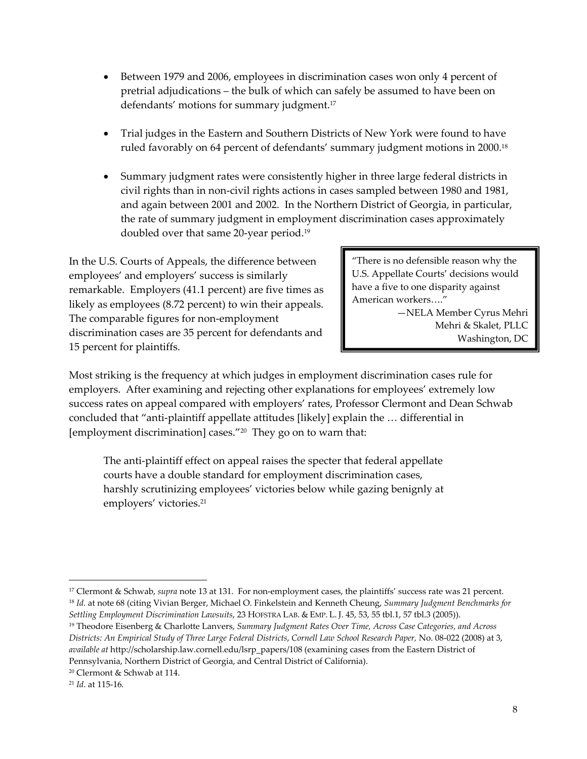- Between 1979 and 2006, employees in discrimination cases won only 4 percent of pretrial adjudications – the bulk of which can safely be assumed to have been on defendants' motions for summary judgment.<sup>17</sup>
- Trial judges in the Eastern and Southern Districts of New York were found to have ruled favorably on 64 percent of defendants' summary judgment motions in 2000.18
- Summary judgment rates were consistently higher in three large federal districts in civil rights than in non‐civil rights actions in cases sampled between 1980 and 1981, and again between 2001 and 2002. In the Northern District of Georgia, in particular, the rate of summary judgment in employment discrimination cases approximately doubled over that same 20‐year period.19

In the U.S. Courts of Appeals, the difference between employees' and employers' success is similarly remarkable. Employers (41.1 percent) are five times as likely as employees (8.72 percent) to win their appeals. The comparable figures for non-employment discrimination cases are 35 percent for defendants and 15 percent for plaintiffs.

"There is no defensible reason why the U.S. Appellate Courts' decisions would have a five to one disparity against American workers…."

> —NELA Member Cyrus Mehri Mehri & Skalet, PLLC Washington, DC

Most striking is the frequency at which judges in employment discrimination cases rule for employers. After examining and rejecting other explanations for employees' extremely low success rates on appeal compared with employers' rates, Professor Clermont and Dean Schwab concluded that "anti‐plaintiff appellate attitudes [likely] explain the … differential in [employment discrimination] cases."20 They go on to warn that:

The anti-plaintiff effect on appeal raises the specter that federal appellate courts have a double standard for employment discrimination cases, harshly scrutinizing employees' victories below while gazing benignly at employers' victories.<sup>21</sup>

<sup>&</sup>lt;sup>17</sup> Clermont & Schwab, *supra* note 13 at 131. For non-employment cases, the plaintiffs' success rate was 21 percent. <sup>18</sup> *Id.* at note 68 (citing Vivian Berger, Michael O. Finkelstein and Kenneth Cheung, *Summary Judgment Benchmarks for Settling Employment Discrimination Lawsuits*, 23 HOFSTRA LAB. & EMP. L. J. 45, 53, 55 tbl.1, 57 tbl.3 (2005)).

<sup>19</sup> Theodore Eisenberg & Charlotte Lanvers, *Summary Judgment Rates Over Time, Across Case Categories, and Across Districts: An Empirical Study of Three Large Federal Districts*, *Cornell Law School Research Paper,* No. 08‐022 (2008) at 3, *available at* http://scholarship.law.cornell.edu/lsrp\_papers/108 (examining cases from the Eastern District of Pennsylvania, Northern District of Georgia, and Central District of California).

<sup>20</sup> Clermont & Schwab at 114.

<sup>21</sup> *Id*. at 115‐16.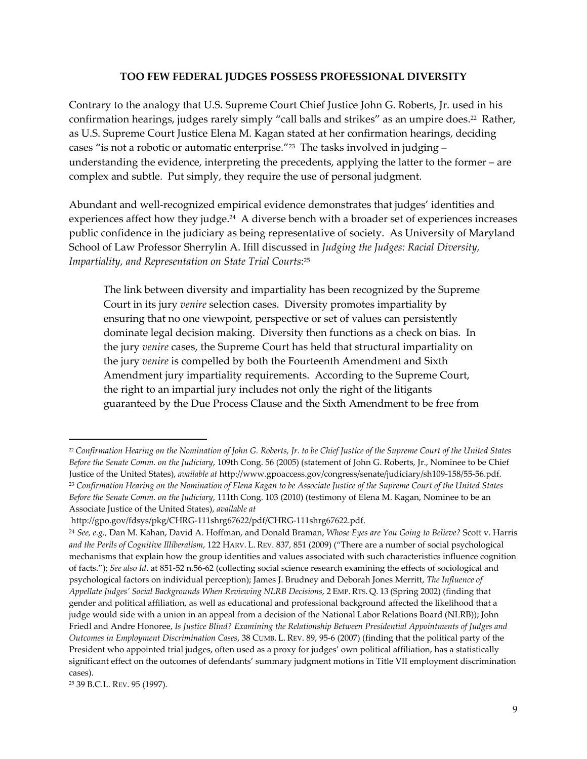#### **TOO FEW FEDERAL JUDGES POSSESS PROFESSIONAL DIVERSITY**

Contrary to the analogy that U.S. Supreme Court Chief Justice John G. Roberts, Jr. used in his confirmation hearings, judges rarely simply "call balls and strikes" as an umpire does.<sup>22</sup> Rather, as U.S. Supreme Court Justice Elena M. Kagan stated at her confirmation hearings, deciding cases "is not a robotic or automatic enterprise."23 The tasks involved in judging – understanding the evidence, interpreting the precedents, applying the latter to the former – are complex and subtle. Put simply, they require the use of personal judgment.

Abundant and well‐recognized empirical evidence demonstrates that judges' identities and experiences affect how they judge.<sup>24</sup> A diverse bench with a broader set of experiences increases public confidence in the judiciary as being representative of society. As University of Maryland School of Law Professor Sherrylin A. Ifill discussed in *Judging the Judges: Racial Diversity, Impartiality, and Representation on State Trial Courts*: <sup>25</sup>

The link between diversity and impartiality has been recognized by the Supreme Court in its jury *venire* selection cases. Diversity promotes impartiality by ensuring that no one viewpoint, perspective or set of values can persistently dominate legal decision making. Diversity then functions as a check on bias. In the jury *venire* cases, the Supreme Court has held that structural impartiality on the jury *venire* is compelled by both the Fourteenth Amendment and Sixth Amendment jury impartiality requirements. According to the Supreme Court, the right to an impartial jury includes not only the right of the litigants guaranteed by the Due Process Clause and the Sixth Amendment to be free from

<sup>&</sup>lt;sup>22</sup> Confirmation Hearing on the Nomination of John G. Roberts, Jr. to be Chief Justice of the Supreme Court of the United States *Before the Senate Comm. on the Judiciary*, 109th Cong. 56 (2005) (statement of John G. Roberts, Jr., Nominee to be Chief Justice of the United States), *available at* http://www.gpoaccess.gov/congress/senate/judiciary/sh109‐158/55‐56.pdf. <sup>23</sup> Confirmation Hearing on the Nomination of Elena Kagan to be Associate Justice of the Supreme Court of the United States *Before the Senate Comm. on the Judiciary*, 111th Cong. 103 (2010) (testimony of Elena M. Kagan, Nominee to be an Associate Justice of the United States), *available at*

http://gpo.gov/fdsys/pkg/CHRG‐111shrg67622/pdf/CHRG‐111shrg67622.pdf.

<sup>24</sup> *See, e.g.,* Dan M. Kahan, David A. Hoffman, and Donald Braman, *Whose Eyes are You Going to Believe?* Scott v. Harris *and the Perils of Cognitive Illiberalism*, 122 HARV. L. REV. 837, 851 (2009) ("There are a number of social psychological mechanisms that explain how the group identities and values associated with such characteristics influence cognition of facts."); *See also Id*. at 851‐52 n.56‐62 (collecting social science research examining the effects of sociological and psychological factors on individual perception); James J. Brudney and Deborah Jones Merritt, *The Influence of Appellate Judges' Social Backgrounds When Reviewing NLRB Decisions*, 2 EMP. RTS. Q. 13 (Spring 2002) (finding that gender and political affiliation, as well as educational and professional background affected the likelihood that a judge would side with a union in an appeal from a decision of the National Labor Relations Board (NLRB)); John Friedl and Andre Honoree, *Is Justice Blind? Examining the Relationship Between Presidential Appointments of Judges and Outcomes in Employment Discrimination Cases*, 38 CUMB. L. REV. 89, 95‐6 (2007) (finding that the political party of the President who appointed trial judges, often used as a proxy for judges' own political affiliation, has a statistically significant effect on the outcomes of defendants' summary judgment motions in Title VII employment discrimination cases).

<sup>25</sup> 39 B.C.L. REV. 95 (1997).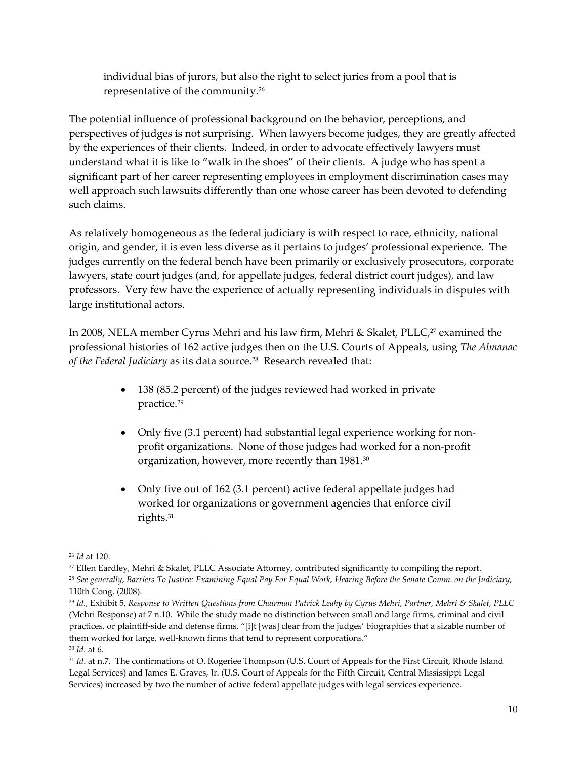individual bias of jurors, but also the right to select juries from a pool that is representative of the community.26

The potential influence of professional background on the behavior, perceptions, and perspectives of judges is not surprising. When lawyers become judges, they are greatly affected by the experiences of their clients. Indeed, in order to advocate effectively lawyers must understand what it is like to "walk in the shoes" of their clients. A judge who has spent a significant part of her career representing employees in employment discrimination cases may well approach such lawsuits differently than one whose career has been devoted to defending such claims.

As relatively homogeneous as the federal judiciary is with respect to race, ethnicity, national origin, and gender, it is even less diverse as it pertains to judges' professional experience. The judges currently on the federal bench have been primarily or exclusively prosecutors, corporate lawyers, state court judges (and, for appellate judges, federal district court judges), and law professors. Very few have the experience of actually representing individuals in disputes with large institutional actors.

In 2008, NELA member Cyrus Mehri and his law firm, Mehri & Skalet, PLLC,<sup>27</sup> examined the professional histories of 162 active judges then on the U.S. Courts of Appeals, using *The Almanac of the Federal Judiciary* as its data source.28 Research revealed that:

- 138 (85.2 percent) of the judges reviewed had worked in private practice.29
- Only five (3.1 percent) had substantial legal experience working for nonprofit organizations. None of those judges had worked for a non‐profit organization, however, more recently than 1981.30
- Only five out of 162 (3.1 percent) active federal appellate judges had worked for organizations or government agencies that enforce civil rights.31

<sup>26</sup> *Id* at 120.

<sup>27</sup> Ellen Eardley, Mehri & Skalet, PLLC Associate Attorney, contributed significantly to compiling the report.

<sup>&</sup>lt;sup>28</sup> See generally, Barriers To Justice: Examining Equal Pay For Equal Work, Hearing Before the Senate Comm. on the Judiciary, 110th Cong. (2008).

<sup>&</sup>lt;sup>29</sup> Id., Exhibit 5, Response to Written Questions from Chairman Patrick Leahy by Cyrus Mehri, Partner, Mehri & Skalet, PLLC (Mehri Response) at 7 n.10. While the study made no distinction between small and large firms, criminal and civil practices, or plaintiff-side and defense firms, "[i]t [was] clear from the judges' biographies that a sizable number of them worked for large, well-known firms that tend to represent corporations." <sup>30</sup> *Id.* at 6.

<sup>&</sup>lt;sup>31</sup> *Id.* at n.7. The confirmations of O. Rogeriee Thompson (U.S. Court of Appeals for the First Circuit, Rhode Island Legal Services) and James E. Graves, Jr. (U.S. Court of Appeals for the Fifth Circuit, Central Mississippi Legal Services) increased by two the number of active federal appellate judges with legal services experience.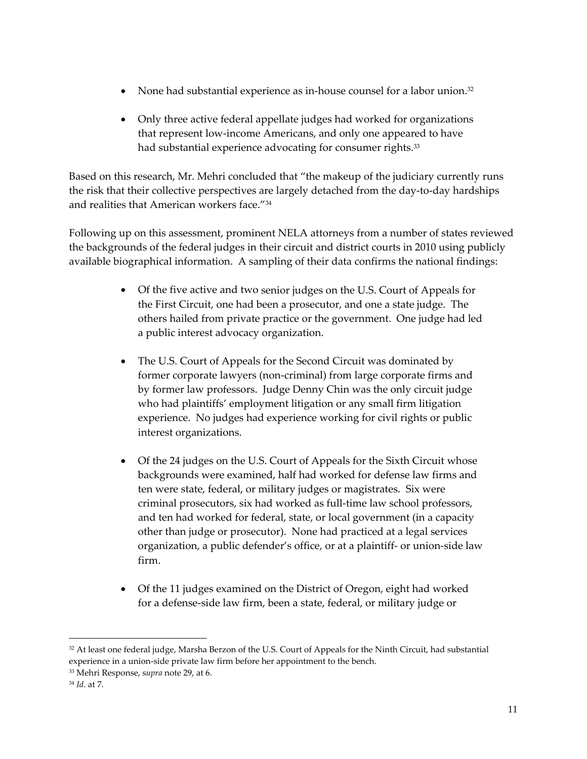- None had substantial experience as in-house counsel for a labor union.<sup>32</sup>
- Only three active federal appellate judges had worked for organizations that represent low‐income Americans, and only one appeared to have had substantial experience advocating for consumer rights.<sup>33</sup>

Based on this research, Mr. Mehri concluded that "the makeup of the judiciary currently runs the risk that their collective perspectives are largely detached from the day‐to‐day hardships and realities that American workers face."34

Following up on this assessment, prominent NELA attorneys from a number of states reviewed the backgrounds of the federal judges in their circuit and district courts in 2010 using publicly available biographical information. A sampling of their data confirms the national findings:

- Of the five active and two senior judges on the U.S. Court of Appeals for the First Circuit, one had been a prosecutor, and one a state judge. The others hailed from private practice or the government. One judge had led a public interest advocacy organization.
- The U.S. Court of Appeals for the Second Circuit was dominated by former corporate lawyers (non‐criminal) from large corporate firms and by former law professors. Judge Denny Chin was the only circuit judge who had plaintiffs' employment litigation or any small firm litigation experience. No judges had experience working for civil rights or public interest organizations.
- Of the 24 judges on the U.S. Court of Appeals for the Sixth Circuit whose backgrounds were examined, half had worked for defense law firms and ten were state, federal, or military judges or magistrates. Six were criminal prosecutors, six had worked as full‐time law school professors, and ten had worked for federal, state, or local government (in a capacity other than judge or prosecutor). None had practiced at a legal services organization, a public defender's office, or at a plaintiff‐ or union‐side law firm.
- Of the 11 judges examined on the District of Oregon, eight had worked for a defense‐side law firm, been a state, federal, or military judge or

<sup>&</sup>lt;sup>32</sup> At least one federal judge, Marsha Berzon of the U.S. Court of Appeals for the Ninth Circuit, had substantial experience in a union‐side private law firm before her appointment to the bench.

<sup>33</sup> Mehri Response, s*upra* note 29, at 6.

<sup>34</sup> *Id*. at 7.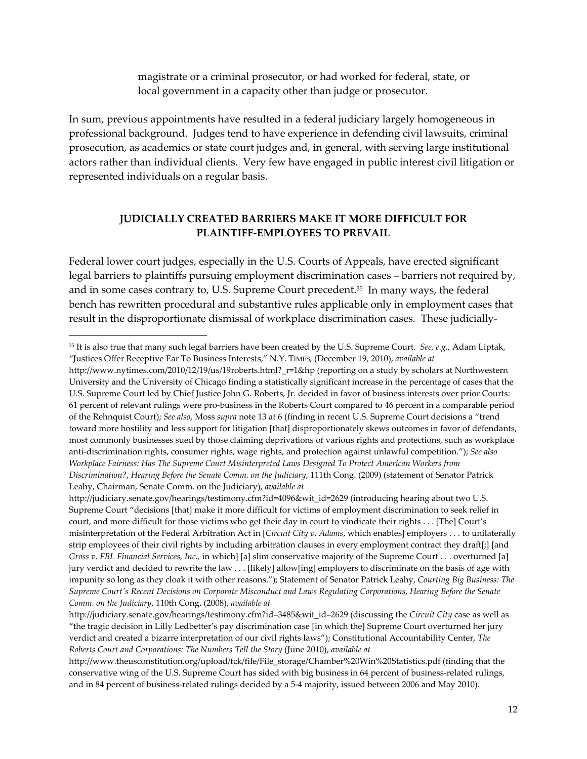magistrate or a criminal prosecutor, or had worked for federal, state, or local government in a capacity other than judge or prosecutor.

In sum, previous appointments have resulted in a federal judiciary largely homogeneous in professional background. Judges tend to have experience in defending civil lawsuits, criminal prosecution, as academics or state court judges and, in general, with serving large institutional actors rather than individual clients. Very few have engaged in public interest civil litigation or represented individuals on a regular basis.

#### **JUDICIALLY CREATED BARRIERS MAKE IT MORE DIFFICULT FOR PLAINTIFF‐EMPLOYEES TO PREVAIL**

Federal lower court judges, especially in the U.S. Courts of Appeals, have erected significant legal barriers to plaintiffs pursuing employment discrimination cases – barriers not required by, and in some cases contrary to, U.S. Supreme Court precedent.35 In many ways, the federal bench has rewritten procedural and substantive rules applicable only in employment cases that result in the disproportionate dismissal of workplace discrimination cases. These judicially‐

<sup>35</sup> It is also true that many such legal barriers have been created by the U.S. Supreme Court. *See, e.g.,* Adam Liptak, "Justices Offer Receptive Ear To Business Interests," N.Y. TIMES*,* (December 19, 2010), *available at*

http://www.nytimes.com/2010/12/19/us/19roberts.html?\_r=1&hp (reporting on a study by scholars at Northwestern University and the University of Chicago finding a statistically significant increase in the percentage of cases that the U.S. Supreme Court led by Chief Justice John G. Roberts, Jr. decided in favor of business interests over prior Courts: 61 percent of relevant rulings were pro‐business in the Roberts Court compared to 46 percent in a comparable period of the Rehnquist Court); *See also*, Moss *supra* note 13 at 6 (finding in recent U.S. Supreme Court decisions a "trend toward more hostility and less support for litigation [that] disproportionately skews outcomes in favor of defendants, most commonly businesses sued by those claiming deprivations of various rights and protections, such as workplace anti‐discrimination rights, consumer rights, wage rights, and protection against unlawful competition."); *See also Workplace Fairness: Has The Supreme Court Misinterpreted Laws Designed To Protect American Workers from Discrimination?*, *Hearing Before the Senate Comm. on the Judiciary*, 111th Cong. (2009) (statement of Senator Patrick Leahy, Chairman, Senate Comm. on the Judiciary), *available at*

http://judiciary.senate.gov/hearings/testimony.cfm?id=4096&wit\_id=2629 (introducing hearing about two U.S. Supreme Court "decisions [that] make it more difficult for victims of employment discrimination to seek relief in court, and more difficult for those victims who get their day in court to vindicate their rights . . . [The] Court's misinterpretation of the Federal Arbitration Act in [*Circuit City v. Adams*, which enables] employers . . . to unilaterally strip employees of their civil rights by including arbitration clauses in every employment contract they draft[;] [and *Gross v. FBL Financial Services, Inc.,* in which] [a] slim conservative majority of the Supreme Court . . . overturned [a] jury verdict and decided to rewrite the law . . . [likely] allow[ing] employers to discriminate on the basis of age with impunity so long as they cloak it with other reasons."); Statement of Senator Patrick Leahy, *Courting Big Business: The* Supreme Court's Recent Decisions on Corporate Misconduct and Laws Regulating Corporations, Hearing Before the Senate *Comm. on the Judiciary*, 110th Cong. (2008), *available at*

http://judiciary.senate.gov/hearings/testimony.cfm?id=3485&wit\_id=2629 (discussing the *Circuit City* case as well as "the tragic decision in Lilly Ledbetter's pay discrimination case [in which the] Supreme Court overturned her jury verdict and created a bizarre interpretation of our civil rights laws"); Constitutional Accountability Center, *The Roberts Court and Corporations: The Numbers Tell the Story* (June 2010), *available at*

http://www.theusconstitution.org/upload/fck/file/File\_storage/Chamber%20Win%20Statistics.pdf (finding that the conservative wing of the U.S. Supreme Court has sided with big business in 64 percent of business-related rulings, and in 84 percent of business-related rulings decided by a 5-4 majority, issued between 2006 and May 2010).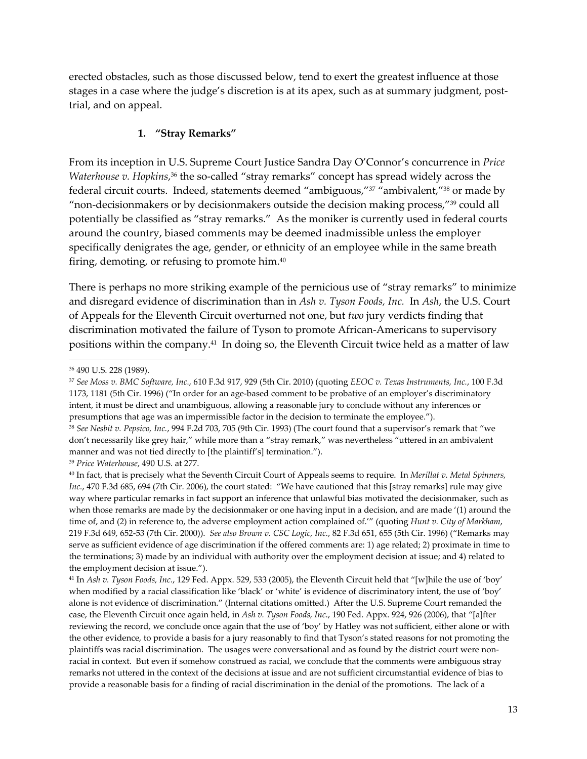erected obstacles, such as those discussed below, tend to exert the greatest influence at those stages in a case where the judge's discretion is at its apex, such as at summary judgment, posttrial, and on appeal.

#### **1. "Stray Remarks"**

From its inception in U.S. Supreme Court Justice Sandra Day O'Connor's concurrence in *Price Waterhouse v. Hopkins,*36 the so-called "stray remarks" concept has spread widely across the federal circuit courts. Indeed, statements deemed "ambiguous,"37 "ambivalent,"38 or made by "non-decisionmakers or by decisionmakers outside the decision making process,"<sup>39</sup> could all potentially be classified as "stray remarks." As the moniker is currently used in federal courts around the country, biased comments may be deemed inadmissible unless the employer specifically denigrates the age, gender, or ethnicity of an employee while in the same breath firing, demoting, or refusing to promote him.40

There is perhaps no more striking example of the pernicious use of "stray remarks" to minimize and disregard evidence of discrimination than in *Ash v. Tyson Foods, Inc.* In *Ash*, the U.S. Court of Appeals for the Eleventh Circuit overturned not one, but *two* jury verdicts finding that discrimination motivated the failure of Tyson to promote African‐Americans to supervisory positions within the company.41 In doing so, the Eleventh Circuit twice held as a matter of law

<sup>36</sup> 490 U.S. 228 (1989).

<sup>37</sup> *See Moss v. BMC Software, Inc.*, 610 F.3d 917, 929 (5th Cir. 2010) (quoting *EEOC v. Texas Instruments, Inc.*, 100 F.3d 1173, 1181 (5th Cir. 1996) ("In order for an age‐based comment to be probative of an employer's discriminatory intent, it must be direct and unambiguous, allowing a reasonable jury to conclude without any inferences or presumptions that age was an impermissible factor in the decision to terminate the employee.").

<sup>38</sup> *See Nesbit v. Pepsico, Inc.*, 994 F.2d 703, 705 (9th Cir. 1993) (The court found that a supervisor's remark that "we don't necessarily like grey hair," while more than a "stray remark," was nevertheless "uttered in an ambivalent manner and was not tied directly to [the plaintiff's] termination.").

<sup>39</sup> *Price Waterhouse*, 490 U.S. at 277.

<sup>40</sup> In fact, that is precisely what the Seventh Circuit Court of Appeals seems to require. In *Merillat v. Metal Spinners, Inc.*, 470 F.3d 685, 694 (7th Cir. 2006), the court stated: "We have cautioned that this [stray remarks] rule may give way where particular remarks in fact support an inference that unlawful bias motivated the decisionmaker, such as when those remarks are made by the decisionmaker or one having input in a decision, and are made '(1) around the time of, and (2) in reference to, the adverse employment action complained of.'" (quoting *Hunt v. City of Markham*, 219 F.3d 649, 652‐53 (7th Cir. 2000)). *See also Brown v. CSC Logic, Inc.*, 82 F.3d 651, 655 (5th Cir. 1996) ("Remarks may serve as sufficient evidence of age discrimination if the offered comments are: 1) age related; 2) proximate in time to the terminations; 3) made by an individual with authority over the employment decision at issue; and 4) related to the employment decision at issue.").

<sup>41</sup> In *Ash v. Tyson Foods, Inc.*, 129 Fed. Appx. 529, 533 (2005), the Eleventh Circuit held that "[w]hile the use of 'boy' when modified by a racial classification like 'black' or 'white' is evidence of discriminatory intent, the use of 'boy' alone is not evidence of discrimination." (Internal citations omitted.) After the U.S. Supreme Court remanded the case, the Eleventh Circuit once again held, in *Ash v. Tyson Foods, Inc*., 190 Fed. Appx. 924, 926 (2006), that "[a]fter reviewing the record, we conclude once again that the use of 'boy' by Hatley was not sufficient, either alone or with the other evidence, to provide a basis for a jury reasonably to find that Tyson's stated reasons for not promoting the plaintiffs was racial discrimination. The usages were conversational and as found by the district court were non‐ racial in context. But even if somehow construed as racial, we conclude that the comments were ambiguous stray remarks not uttered in the context of the decisions at issue and are not sufficient circumstantial evidence of bias to provide a reasonable basis for a finding of racial discrimination in the denial of the promotions. The lack of a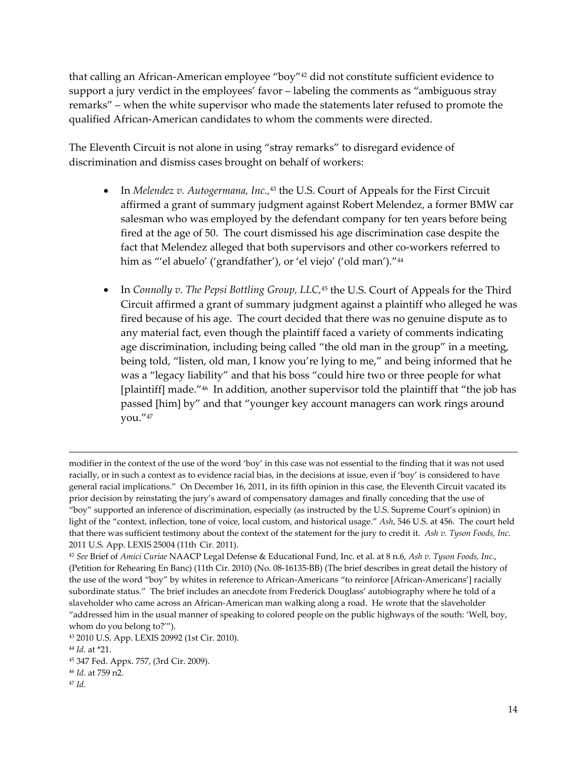that calling an African‐American employee "boy"42 did not constitute sufficient evidence to support a jury verdict in the employees' favor – labeling the comments as "ambiguous stray remarks" – when the white supervisor who made the statements later refused to promote the qualified African‐American candidates to whom the comments were directed.

The Eleventh Circuit is not alone in using "stray remarks" to disregard evidence of discrimination and dismiss cases brought on behalf of workers:

- In *Melendez v. Autogermana, Inc.,*<sup>43</sup> the U.S. Court of Appeals for the First Circuit affirmed a grant of summary judgment against Robert Melendez, a former BMW car salesman who was employed by the defendant company for ten years before being fired at the age of 50. The court dismissed his age discrimination case despite the fact that Melendez alleged that both supervisors and other co-workers referred to him as "'el abuelo' ('grandfather'), or 'el viejo' ('old man')."<sup>44</sup>
- In *Connolly v. The Pepsi Bottling Group, LLC,*<sup>45</sup> the U.S. Court of Appeals for the Third Circuit affirmed a grant of summary judgment against a plaintiff who alleged he was fired because of his age. The court decided that there was no genuine dispute as to any material fact, even though the plaintiff faced a variety of comments indicating age discrimination, including being called "the old man in the group" in a meeting, being told, "listen, old man, I know you're lying to me," and being informed that he was a "legacy liability" and that his boss "could hire two or three people for what [plaintiff] made."46 In addition, another supervisor told the plaintiff that "the job has passed [him] by" and that "younger key account managers can work rings around you."47

<u> 1989 - Johann Stein, marwolaethau a gweledydd a ganlad y ganlad y ganlad y ganlad y ganlad y ganlad y ganlad</u>

modifier in the context of the use of the word 'boy' in this case was not essential to the finding that it was not used racially, or in such a context as to evidence racial bias, in the decisions at issue, even if 'boy' is considered to have general racial implications." On December 16, 2011, in its fifth opinion in this case, the Eleventh Circuit vacated its prior decision by reinstating the jury's award of compensatory damages and finally conceding that the use of "boy" supported an inference of discrimination, especially (as instructed by the U.S. Supreme Court's opinion) in light of the "context, inflection, tone of voice, local custom, and historical usage." *Ash*, 546 U.S. at 456. The court held that there was sufficient testimony about the context of the statement for the jury to credit it. *Ash v. Tyson Foods, Inc*. 2011 U.S. App. LEXIS 25004 (11th Cir. 2011).

<sup>42</sup> *See* Brief of *Amici Curiae* NAACP Legal Defense & Educational Fund, Inc. et al. at 8 n.6, *Ash v. Tyson Foods, Inc.*, (Petition for Rehearing En Banc) (11th Cir. 2010) (No. 08‐16135‐BB) (The brief describes in great detail the history of the use of the word "boy" by whites in reference to African-Americans "to reinforce [African-Americans'] racially subordinate status." The brief includes an anecdote from Frederick Douglass' autobiography where he told of a slaveholder who came across an African‐American man walking along a road. He wrote that the slaveholder "addressed him in the usual manner of speaking to colored people on the public highways of the south: 'Well, boy, whom do you belong to?'").

<sup>43</sup> 2010 U.S. App. LEXIS 20992 (1st Cir. 2010).

<sup>44</sup> *Id*. at \*21.

<sup>45</sup> 347 Fed. Appx. 757, (3rd Cir. 2009).

<sup>46</sup> *Id*. at 759 n2.

<sup>47</sup> *Id*.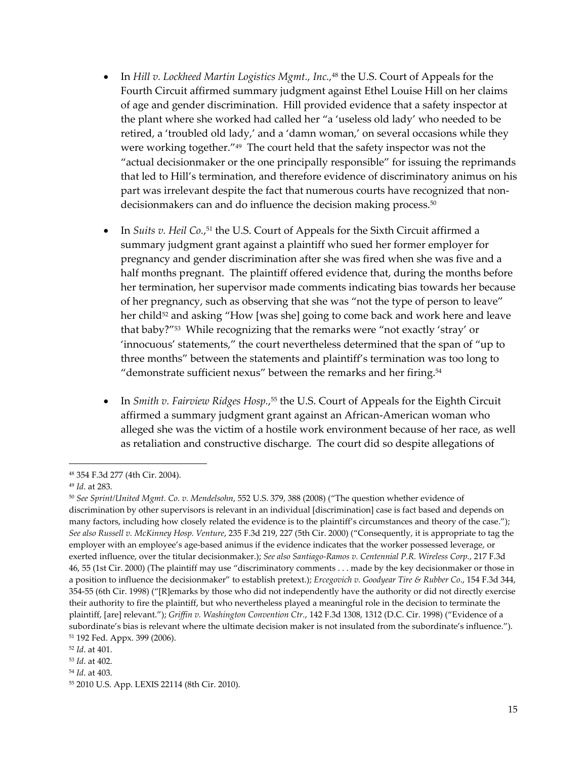- In *Hill v. Lockheed Martin Logistics Mgmt., Inc.,*<sup>48</sup> the U.S. Court of Appeals for the Fourth Circuit affirmed summary judgment against Ethel Louise Hill on her claims of age and gender discrimination. Hill provided evidence that a safety inspector at the plant where she worked had called her "a 'useless old lady' who needed to be retired, a 'troubled old lady,' and a 'damn woman,' on several occasions while they were working together."49 The court held that the safety inspector was not the "actual decisionmaker or the one principally responsible" for issuing the reprimands that led to Hill's termination, and therefore evidence of discriminatory animus on his part was irrelevant despite the fact that numerous courts have recognized that nondecisionmakers can and do influence the decision making process.<sup>50</sup>
- In *Suits v. Heil Co.*, <sup>51</sup> the U.S. Court of Appeals for the Sixth Circuit affirmed a summary judgment grant against a plaintiff who sued her former employer for pregnancy and gender discrimination after she was fired when she was five and a half months pregnant. The plaintiff offered evidence that, during the months before her termination, her supervisor made comments indicating bias towards her because of her pregnancy, such as observing that she was "not the type of person to leave" her child<sup>52</sup> and asking "How [was she] going to come back and work here and leave that baby?"53 While recognizing that the remarks were "not exactly 'stray' or 'innocuous' statements," the court nevertheless determined that the span of "up to three months" between the statements and plaintiff's termination was too long to "demonstrate sufficient nexus" between the remarks and her firing. $54$
- In *Smith v. Fairview Ridges Hosp.*, <sup>55</sup> the U.S. Court of Appeals for the Eighth Circuit affirmed a summary judgment grant against an African‐American woman who alleged she was the victim of a hostile work environment because of her race, as well as retaliation and constructive discharge. The court did so despite allegations of

<sup>48</sup> 354 F.3d 277 (4th Cir. 2004).

<sup>49</sup> *Id*. at 283.

<sup>50</sup> *See Sprint/United Mgmt. Co. v. Mendelsohn*, 552 U.S. 379, 388 (2008) ("The question whether evidence of discrimination by other supervisors is relevant in an individual [discrimination] case is fact based and depends on many factors, including how closely related the evidence is to the plaintiff's circumstances and theory of the case."); *See also Russell v. McKinney Hosp. Venture*, 235 F.3d 219, 227 (5th Cir. 2000) ("Consequently, it is appropriate to tag the employer with an employee's age-based animus if the evidence indicates that the worker possessed leverage, or exerted influence, over the titular decisionmaker.); *See also Santiago‐Ramos v. Centennial P.R. Wireless Corp.*, 217 F.3d 46, 55 (1st Cir. 2000) (The plaintiff may use "discriminatory comments . . . made by the key decisionmaker or those in a position to influence the decisionmaker" to establish pretext.); *Ercegovich v. Goodyear Tire & Rubber Co*., 154 F.3d 344, 354‐55 (6th Cir. 1998) ("[R]emarks by those who did not independently have the authority or did not directly exercise their authority to fire the plaintiff, but who nevertheless played a meaningful role in the decision to terminate the plaintiff, [are] relevant."); *Griffin v. Washington Convention Ctr.*, 142 F.3d 1308, 1312 (D.C. Cir. 1998) ("Evidence of a subordinate's bias is relevant where the ultimate decision maker is not insulated from the subordinate's influence."). <sup>51</sup> 192 Fed. Appx. 399 (2006).

<sup>52</sup> *Id*. at 401.

<sup>53</sup> *Id*. at 402.

<sup>54</sup> *Id*. at 403.

<sup>55</sup> 2010 U.S. App. LEXIS 22114 (8th Cir. 2010).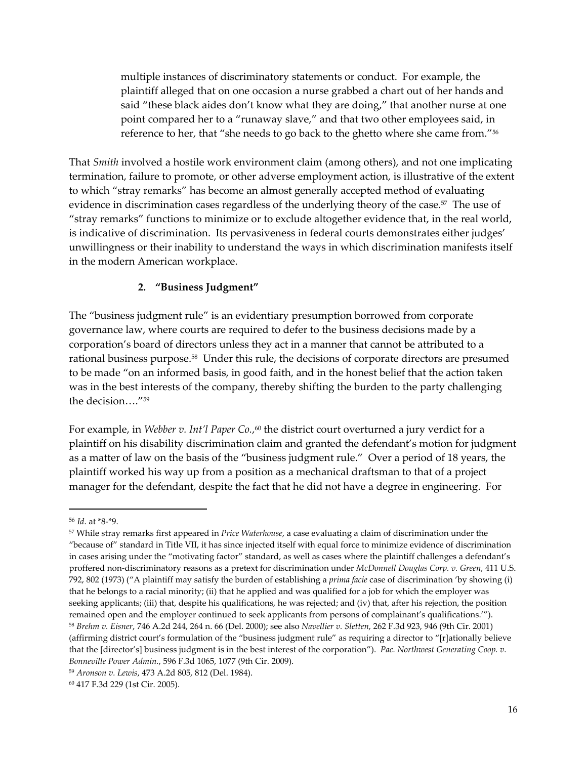multiple instances of discriminatory statements or conduct. For example, the plaintiff alleged that on one occasion a nurse grabbed a chart out of her hands and said "these black aides don't know what they are doing," that another nurse at one point compared her to a "runaway slave," and that two other employees said, in reference to her, that "she needs to go back to the ghetto where she came from."56

That *Smith* involved a hostile work environment claim (among others), and not one implicating termination, failure to promote, or other adverse employment action, is illustrative of the extent to which "stray remarks" has become an almost generally accepted method of evaluating evidence in discrimination cases regardless of the underlying theory of the case.<sup>57</sup> The use of "stray remarks" functions to minimize or to exclude altogether evidence that, in the real world, is indicative of discrimination. Its pervasiveness in federal courts demonstrates either judges' unwillingness or their inability to understand the ways in which discrimination manifests itself in the modern American workplace.

#### **2. "Business Judgment"**

The "business judgment rule" is an evidentiary presumption borrowed from corporate governance law, where courts are required to defer to the business decisions made by a corporation's board of directors unless they act in a manner that cannot be attributed to a rational business purpose.58 Under this rule, the decisions of corporate directors are presumed to be made "on an informed basis, in good faith, and in the honest belief that the action taken was in the best interests of the company, thereby shifting the burden to the party challenging the decision…."59

For example, in *Webber v. Int'l Paper Co.*, <sup>60</sup> the district court overturned a jury verdict for a plaintiff on his disability discrimination claim and granted the defendant's motion for judgment as a matter of law on the basis of the "business judgment rule." Over a period of 18 years, the plaintiff worked his way up from a position as a mechanical draftsman to that of a project manager for the defendant, despite the fact that he did not have a degree in engineering. For

<sup>56</sup> *Id*. at \*8‐\*9.

<sup>57</sup> While stray remarks first appeared in *Price Waterhouse*, a case evaluating a claim of discrimination under the "because of" standard in Title VII, it has since injected itself with equal force to minimize evidence of discrimination in cases arising under the "motivating factor" standard, as well as cases where the plaintiff challenges a defendant's proffered non‐discriminatory reasons as a pretext for discrimination under *McDonnell Douglas Corp. v. Green*, 411 U.S. 792, 802 (1973) ("A plaintiff may satisfy the burden of establishing a *prima facie* case of discrimination 'by showing (i) that he belongs to a racial minority; (ii) that he applied and was qualified for a job for which the employer was seeking applicants; (iii) that, despite his qualifications, he was rejected; and (iv) that, after his rejection, the position remained open and the employer continued to seek applicants from persons of complainant's qualifications.'"). <sup>58</sup> *Brehm v. Eisner*, 746 A.2d 244, 264 n. 66 (Del. 2000); see also *Navellier v. Sletten*, 262 F.3d 923, 946 (9th Cir. 2001) (affirming district court's formulation of the "business judgment rule" as requiring a director to "[r]ationally believe that the [director's] business judgment is in the best interest of the corporation"). *Pac. Northwest Generating Coop. v. Bonneville Power Admin.*, 596 F.3d 1065, 1077 (9th Cir. 2009).

<sup>59</sup> *Aronson v. Lewis*, 473 A.2d 805, 812 (Del. 1984).

<sup>60</sup> 417 F.3d 229 (1st Cir. 2005).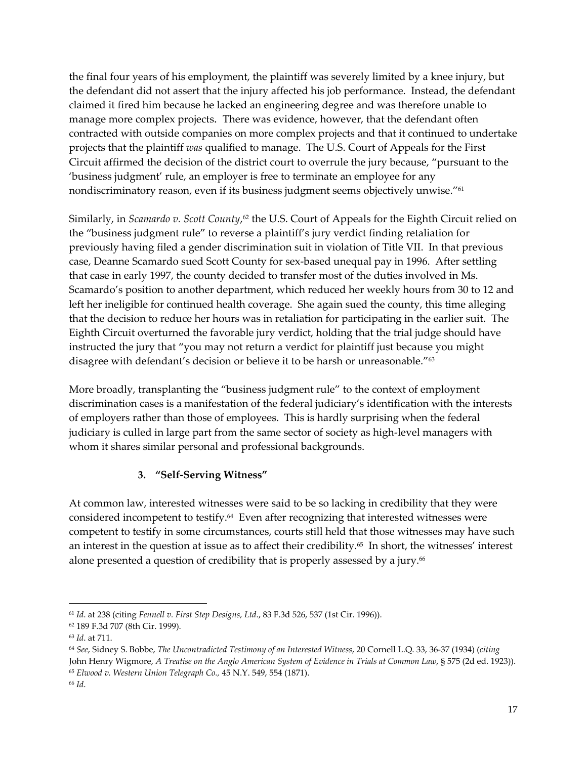the final four years of his employment, the plaintiff was severely limited by a knee injury, but the defendant did not assert that the injury affected his job performance. Instead, the defendant claimed it fired him because he lacked an engineering degree and was therefore unable to manage more complex projects. There was evidence, however, that the defendant often contracted with outside companies on more complex projects and that it continued to undertake projects that the plaintiff *was* qualified to manage. The U.S. Court of Appeals for the First Circuit affirmed the decision of the district court to overrule the jury because, "pursuant to the 'business judgment' rule, an employer is free to terminate an employee for any nondiscriminatory reason, even if its business judgment seems objectively unwise."61

Similarly, in *Scamardo v. Scott County*, <sup>62</sup> the U.S. Court of Appeals for the Eighth Circuit relied on the "business judgment rule" to reverse a plaintiff's jury verdict finding retaliation for previously having filed a gender discrimination suit in violation of Title VII. In that previous case, Deanne Scamardo sued Scott County for sex‐based unequal pay in 1996. After settling that case in early 1997, the county decided to transfer most of the duties involved in Ms. Scamardo's position to another department, which reduced her weekly hours from 30 to 12 and left her ineligible for continued health coverage. She again sued the county, this time alleging that the decision to reduce her hours was in retaliation for participating in the earlier suit. The Eighth Circuit overturned the favorable jury verdict, holding that the trial judge should have instructed the jury that "you may not return a verdict for plaintiff just because you might disagree with defendant's decision or believe it to be harsh or unreasonable."63

More broadly, transplanting the "business judgment rule" to the context of employment discrimination cases is a manifestation of the federal judiciary's identification with the interests of employers rather than those of employees. This is hardly surprising when the federal judiciary is culled in large part from the same sector of society as high-level managers with whom it shares similar personal and professional backgrounds.

# **3. "Self‐Serving Witness"**

At common law, interested witnesses were said to be so lacking in credibility that they were considered incompetent to testify.64 Even after recognizing that interested witnesses were competent to testify in some circumstances, courts still held that those witnesses may have such an interest in the question at issue as to affect their credibility.65 In short, the witnesses' interest alone presented a question of credibility that is properly assessed by a jury.<sup>66</sup>

<sup>61</sup> *Id*. at 238 (citing *Fennell v. First Step Designs, Ltd*., 83 F.3d 526, 537 (1st Cir. 1996)).

<sup>62</sup> 189 F.3d 707 (8th Cir. 1999).

<sup>63</sup> *Id*. at 711.

<sup>64</sup> *See*, Sidney S. Bobbe, *The Uncontradicted Testimony of an Interested Witness*, 20 Cornell L.Q. 33, 36‐37 (1934) (*citing* John Henry Wigmore, *A Treatise on the Anglo American System of Evidence in Trials at Common Law*, § 575 (2d ed. 1923)).

<sup>65</sup> *Elwood v. Western Union Telegraph Co.,* 45 N.Y. 549, 554 (1871). <sup>66</sup> *Id*.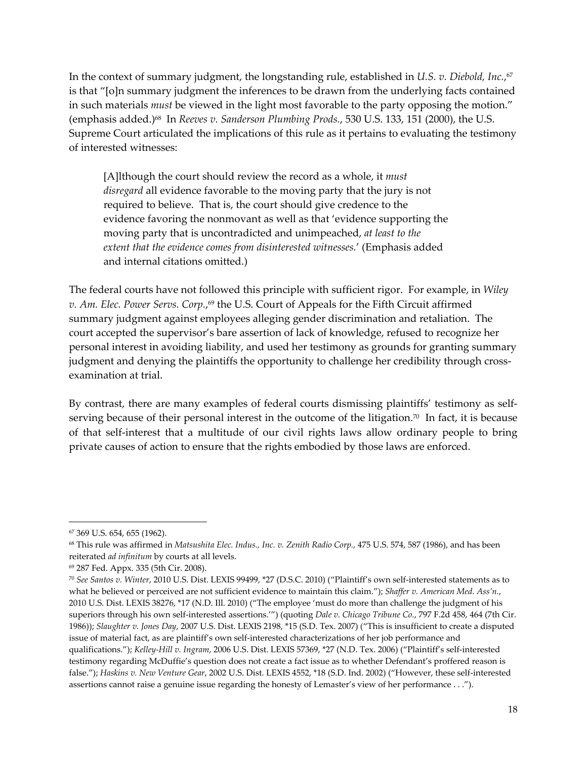In the context of summary judgment, the longstanding rule, established in *U.S. v. Diebold, Inc.*, 67 is that "[o]n summary judgment the inferences to be drawn from the underlying facts contained in such materials *must* be viewed in the light most favorable to the party opposing the motion." (emphasis added.)68In *Reeves v. Sanderson Plumbing Prods.*, 530 U.S. 133, 151 (2000), the U.S. Supreme Court articulated the implications of this rule as it pertains to evaluating the testimony of interested witnesses:

[A]lthough the court should review the record as a whole, it *must disregard* all evidence favorable to the moving party that the jury is not required to believe. That is, the court should give credence to the evidence favoring the nonmovant as well as that 'evidence supporting the moving party that is uncontradicted and unimpeached, *at least to the extent that the evidence comes from disinterested witnesses.*' (Emphasis added and internal citations omitted.)

The federal courts have not followed this principle with sufficient rigor. For example, in *Wiley v. Am. Elec. Power Servs. Corp.*, <sup>69</sup> the U.S. Court of Appeals for the Fifth Circuit affirmed summary judgment against employees alleging gender discrimination and retaliation. The court accepted the supervisor's bare assertion of lack of knowledge, refused to recognize her personal interest in avoiding liability, and used her testimony as grounds for granting summary judgment and denying the plaintiffs the opportunity to challenge her credibility through crossexamination at trial.

By contrast, there are many examples of federal courts dismissing plaintiffs' testimony as self‐ serving because of their personal interest in the outcome of the litigation.<sup>70</sup> In fact, it is because of that self‐interest that a multitude of our civil rights laws allow ordinary people to bring private causes of action to ensure that the rights embodied by those laws are enforced.

<sup>67</sup> 369 U.S. 654, 655 (1962).

<sup>68</sup> This rule was affirmed in *Matsushita Elec. Indus., Inc. v. Zenith Radio Corp.,* 475 U.S. 574, 587 (1986), and has been reiterated *ad infinitum* by courts at all levels.

<sup>69</sup> 287 Fed. Appx. 335 (5th Cir. 2008).

<sup>70</sup> *See Santos v. Winter*, 2010 U.S. Dist. LEXIS 99499, \*27 (D.S.C. 2010) ("Plaintiff's own self‐interested statements as to what he believed or perceived are not sufficient evidence to maintain this claim."); *Shaffer v. American Med. Ass'n.*, 2010 U.S. Dist. LEXIS 38276, \*17 (N.D. Ill. 2010) ("The employee 'must do more than challenge the judgment of his superiors through his own self‐interested assertions.'") (quoting *Dale v. Chicago Tribune Co.*, 797 F.2d 458, 464 (7th Cir. 1986)); *Slaughter v. Jones Day*, 2007 U.S. Dist. LEXIS 2198, \*15 (S.D. Tex. 2007) ("This is insufficient to create a disputed issue of material fact, as are plaintiff's own self-interested characterizations of her job performance and qualifications."); *Kelley‐Hill v. Ingram*, 2006 U.S. Dist. LEXIS 57369, \*27 (N.D. Tex. 2006) ("Plaintiff's self‐interested testimony regarding McDuffie's question does not create a fact issue as to whether Defendant's proffered reason is false."); *Haskins v. New Venture Gear*, 2002 U.S. Dist. LEXIS 4552, \*18 (S.D. Ind. 2002) ("However, these self‐interested assertions cannot raise a genuine issue regarding the honesty of Lemaster's view of her performance . . .").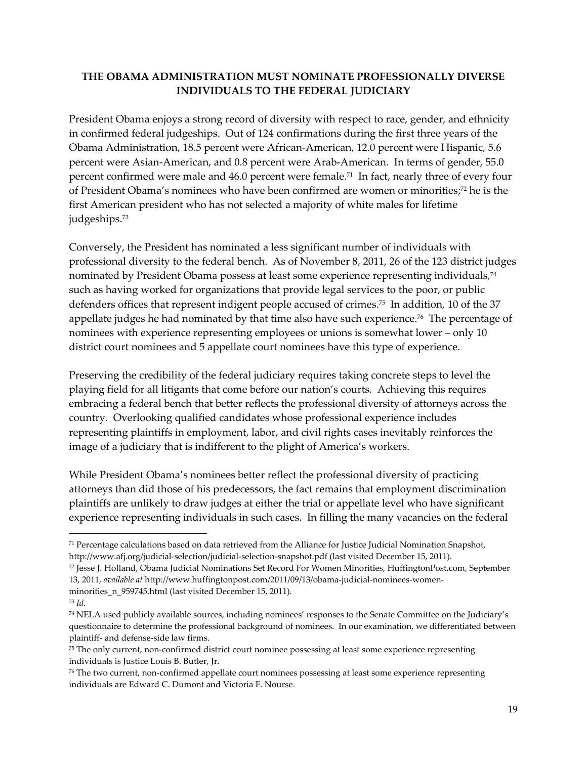### **THE OBAMA ADMINISTRATION MUST NOMINATE PROFESSIONALLY DIVERSE INDIVIDUALS TO THE FEDERAL JUDICIARY**

President Obama enjoys a strong record of diversity with respect to race, gender, and ethnicity in confirmed federal judgeships. Out of 124 confirmations during the first three years of the Obama Administration, 18.5 percent were African‐American, 12.0 percent were Hispanic, 5.6 percent were Asian‐American, and 0.8 percent were Arab‐American. In terms of gender, 55.0 percent confirmed were male and 46.0 percent were female.71 In fact, nearly three of every four of President Obama's nominees who have been confirmed are women or minorities;72 he is the first American president who has not selected a majority of white males for lifetime judgeships.73

Conversely, the President has nominated a less significant number of individuals with professional diversity to the federal bench. As of November 8, 2011, 26 of the 123 district judges nominated by President Obama possess at least some experience representing individuals,<sup>74</sup> such as having worked for organizations that provide legal services to the poor, or public defenders offices that represent indigent people accused of crimes.75 In addition, 10 of the 37 appellate judges he had nominated by that time also have such experience.<sup>76</sup> The percentage of nominees with experience representing employees or unions is somewhat lower – only 10 district court nominees and 5 appellate court nominees have this type of experience.

Preserving the credibility of the federal judiciary requires taking concrete steps to level the playing field for all litigants that come before our nation's courts. Achieving this requires embracing a federal bench that better reflects the professional diversity of attorneys across the country. Overlooking qualified candidates whose professional experience includes representing plaintiffs in employment, labor, and civil rights cases inevitably reinforces the image of a judiciary that is indifferent to the plight of America's workers.

While President Obama's nominees better reflect the professional diversity of practicing attorneys than did those of his predecessors, the fact remains that employment discrimination plaintiffs are unlikely to draw judges at either the trial or appellate level who have significant experience representing individuals in such cases. In filling the many vacancies on the federal

<sup>71</sup> Percentage calculations based on data retrieved from the Alliance for Justice Judicial Nomination Snapshot, http://www.afj.org/judicial‐selection/judicial‐selection‐snapshot.pdf (last visited December 15, 2011).

<sup>72</sup> Jesse J. Holland, Obama Judicial Nominations Set Record For Women Minorities, HuffingtonPost.com, September 13, 2011, *available at* http://www.huffingtonpost.com/2011/09/13/obama-judicial-nominees-womenminorities n 959745.html (last visited December 15, 2011).

<sup>73</sup> *Id.*

<sup>74</sup> NELA used publicly available sources, including nominees' responses to the Senate Committee on the Judiciary's questionnaire to determine the professional background of nominees. In our examination, we differentiated between plaintiff‐ and defense‐side law firms.

<sup>75</sup> The only current, non‐confirmed district court nominee possessing at least some experience representing individuals is Justice Louis B. Butler, Jr.

<sup>76</sup> The two current, non‐confirmed appellate court nominees possessing at least some experience representing individuals are Edward C. Dumont and Victoria F. Nourse.